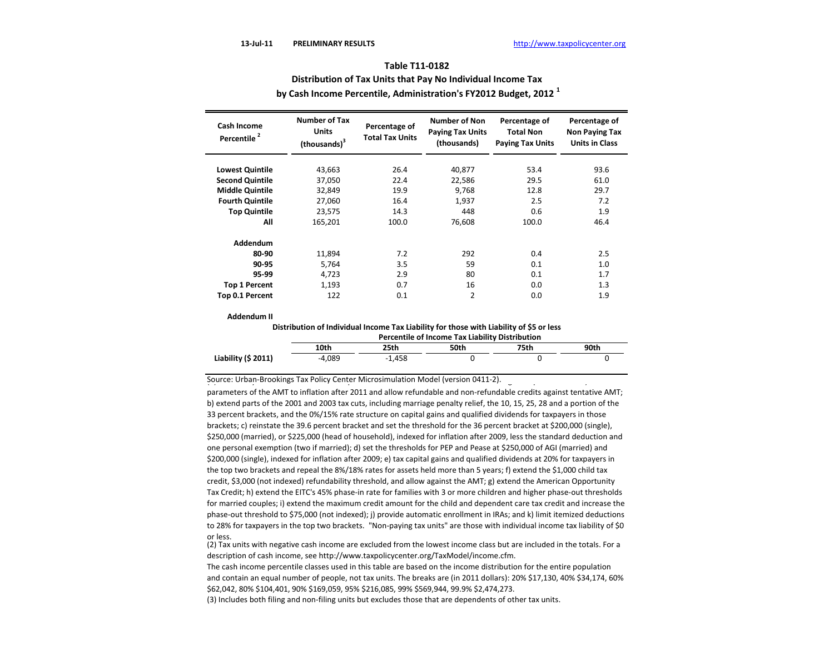# **Table T11-0182 Distribution of Tax Units that Pay No Individual Income Tax by Cash Income Percentile, Administration's FY2012 Budget, 2012 <sup>1</sup>**

| <b>Cash Income</b><br>Percentile <sup>2</sup> | <b>Number of Tax</b><br><b>Units</b><br>(thousands) <sup>3</sup> | Percentage of<br><b>Total Tax Units</b> | <b>Number of Non</b><br><b>Paying Tax Units</b><br>(thousands) | Percentage of<br><b>Total Non</b><br><b>Paying Tax Units</b> | Percentage of<br><b>Non Paying Tax</b><br><b>Units in Class</b> |
|-----------------------------------------------|------------------------------------------------------------------|-----------------------------------------|----------------------------------------------------------------|--------------------------------------------------------------|-----------------------------------------------------------------|
|                                               |                                                                  |                                         |                                                                |                                                              |                                                                 |
| <b>Lowest Quintile</b>                        | 43,663                                                           | 26.4                                    | 40,877                                                         | 53.4                                                         | 93.6                                                            |
| <b>Second Quintile</b>                        | 37,050                                                           | 22.4                                    | 22,586                                                         | 29.5                                                         | 61.0                                                            |
| <b>Middle Quintile</b>                        | 32,849                                                           | 19.9                                    | 9,768                                                          | 12.8                                                         | 29.7                                                            |
| <b>Fourth Quintile</b>                        | 27.060                                                           | 16.4                                    | 1.937                                                          | 2.5                                                          | 7.2                                                             |
| <b>Top Quintile</b>                           | 23,575                                                           | 14.3                                    | 448                                                            | 0.6                                                          | 1.9                                                             |
| All                                           | 165.201                                                          | 100.0                                   | 76,608                                                         | 100.0                                                        | 46.4                                                            |
| Addendum                                      |                                                                  |                                         |                                                                |                                                              |                                                                 |
| 80-90                                         | 11,894                                                           | 7.2                                     | 292                                                            | 0.4                                                          | 2.5                                                             |
| 90-95                                         | 5,764                                                            | 3.5                                     | 59                                                             | 0.1                                                          | 1.0                                                             |
| 95-99                                         | 4,723                                                            | 2.9                                     | 80                                                             | 0.1                                                          | 1.7                                                             |
| <b>Top 1 Percent</b>                          | 1,193                                                            | 0.7                                     | 16                                                             | 0.0                                                          | 1.3                                                             |
| Top 0.1 Percent                               | 122                                                              | 0.1                                     | $\overline{2}$                                                 | 0.0                                                          | 1.9                                                             |

### **Addendum II**

**Distribution of Individual Income Tax Liability for those with Liability of \$5 or less**

|                     | Percentile of Income Tax Liability Distribution |          |      |      |      |  |  |  |
|---------------------|-------------------------------------------------|----------|------|------|------|--|--|--|
|                     | 10th                                            | 25th     | 50th | 75th | 90th |  |  |  |
| Liability (\$ 2011) | $-4.089$                                        | $-1.458$ |      |      |      |  |  |  |

Source: Urban-Brookings Tax Policy Center Microsimulation Model (version 0411-2).  $\overline{a}$ 

parameters of the AMT to inflation after 2011 and allow refundable and non-refundable credits against tentative AMT; b) extend parts of the 2001 and 2003 tax cuts, including marriage penalty relief, the 10, 15, 25, 28 and a portion of the 33 percent brackets, and the 0%/15% rate structure on capital gains and qualified dividends for taxpayers in those brackets; c) reinstate the 39.6 percent bracket and set the threshold for the 36 percent bracket at \$200,000 (single), \$250,000 (married), or \$225,000 (head of household), indexed for inflation after 2009, less the standard deduction and one personal exemption (two if married); d) set the thresholds for PEP and Pease at \$250,000 of AGI (married) and \$200,000 (single), indexed for inflation after 2009; e) tax capital gains and qualified dividends at 20% for taxpayers in the top two brackets and repeal the 8%/18% rates for assets held more than 5 years; f) extend the \$1,000 child tax credit, \$3,000 (not indexed) refundability threshold, and allow against the AMT; g) extend the American Opportunity Tax Credit; h) extend the EITC's 45% phase‐in rate for families with 3 or more children and higher phase‐out thresholds for married couples; i) extend the maximum credit amount for the child and dependent care tax credit and increase the phase‐out threshold to \$75,000 (not indexed); j) provide automatic enrollment in IRAs; and k) limit itemized deductions to 28% for taxpayers in the top two brackets. "Non-paying tax units" are those with individual income tax liability of \$0 or less.

(2) Tax units with negative cash income are excluded from the lowest income class but are included in the totals. For a description of cash income, see http://www.taxpolicycenter.org/TaxModel/income.cfm.

The cash income percentile classes used in this table are based on the income distribution for the entire population and contain an equal number of people, not tax units. The breaks are (in 2011 dollars): 20% \$17,130, 40% \$34,174, 60% \$62,042, 80% \$104,401, 90% \$169,059, 95% \$216,085, 99% \$569,944, 99.9% \$2,474,273.

(3) Includes both filing and non-filing units but excludes those that are dependents of other tax units.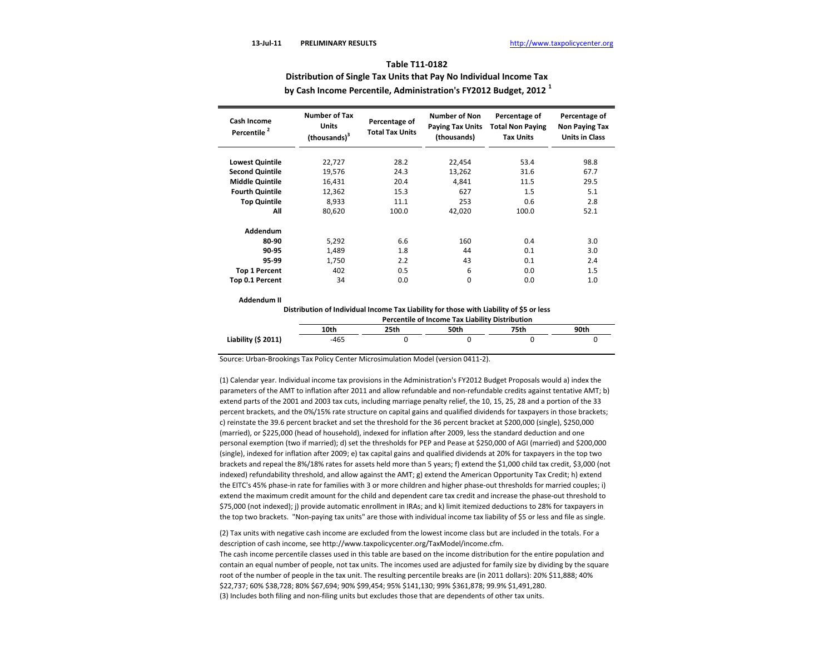**Distribution of Single Tax Units that Pay No Individual Income Tax**

 **by Cash Income Percentile, Administration's FY2012 Budget, 2012 <sup>1</sup>**

| Cash Income<br>Percentile <sup>2</sup> | <b>Number of Tax</b><br><b>Units</b><br>(thousands) <sup>3</sup> | Percentage of<br><b>Total Tax Units</b> | <b>Number of Non</b><br><b>Paying Tax Units</b><br>(thousands) | Percentage of<br><b>Total Non Paying</b><br><b>Tax Units</b> | Percentage of<br>Non Paying Tax<br><b>Units in Class</b> |
|----------------------------------------|------------------------------------------------------------------|-----------------------------------------|----------------------------------------------------------------|--------------------------------------------------------------|----------------------------------------------------------|
|                                        |                                                                  |                                         |                                                                |                                                              |                                                          |
| <b>Lowest Quintile</b>                 | 22,727                                                           | 28.2                                    | 22,454                                                         | 53.4                                                         | 98.8                                                     |
| <b>Second Quintile</b>                 | 19,576                                                           | 24.3                                    | 13,262                                                         | 31.6                                                         | 67.7                                                     |
| <b>Middle Quintile</b>                 | 16,431                                                           | 20.4                                    | 4.841                                                          | 11.5                                                         | 29.5                                                     |
| <b>Fourth Quintile</b>                 | 12,362                                                           | 15.3                                    | 627                                                            | 1.5                                                          | 5.1                                                      |
| <b>Top Quintile</b>                    | 8,933                                                            | 11.1                                    | 253                                                            | 0.6                                                          | 2.8                                                      |
| All                                    | 80.620                                                           | 100.0                                   | 42.020                                                         | 100.0                                                        | 52.1                                                     |
| Addendum                               |                                                                  |                                         |                                                                |                                                              |                                                          |
| 80-90                                  | 5,292                                                            | 6.6                                     | 160                                                            | 0.4                                                          | 3.0                                                      |
| 90-95                                  | 1.489                                                            | 1.8                                     | 44                                                             | 0.1                                                          | 3.0                                                      |
| 95-99                                  | 1,750                                                            | 2.2                                     | 43                                                             | 0.1                                                          | 2.4                                                      |
| <b>Top 1 Percent</b>                   | 402                                                              | 0.5                                     | 6                                                              | 0.0                                                          | 1.5                                                      |
| Top 0.1 Percent                        | 34                                                               | 0.0                                     | 0                                                              | 0.0                                                          | 1.0                                                      |

#### **Addendum II**

**Distribution of Individual Income Tax Liability for those with Liability of \$5 or less**

|                     | <b>Percentile of Income Tax Liability Distribution</b> |      |      |      |      |  |  |
|---------------------|--------------------------------------------------------|------|------|------|------|--|--|
|                     | 10th                                                   | 25th | 50th | 75th | 90th |  |  |
| Liability (\$ 2011) | -465                                                   |      |      |      |      |  |  |

Source: Urban-Brookings Tax Policy Center Microsimulation Model (version 0411-2).

(1) Calendar year. Individual income tax provisions in the Administration's FY2012 Budget Proposals would a) index the parameters of the AMT to inflation after 2011 and allow refundable and non-refundable credits against tentative AMT; b) extend parts of the 2001 and 2003 tax cuts, including marriage penalty relief, the 10, 15, 25, 28 and a portion of the 33 percent brackets, and the 0%/15% rate structure on capital gains and qualified dividends for taxpayers in those brackets; c) reinstate the 39.6 percent bracket and set the threshold for the 36 percent bracket at \$200,000 (single), \$250,000 (married), or \$225,000 (head of household), indexed for inflation after 2009, less the standard deduction and one personal exemption (two if married); d) set the thresholds for PEP and Pease at \$250,000 of AGI (married) and \$200,000 (single), indexed for inflation after 2009; e) tax capital gains and qualified dividends at 20% for taxpayers in the top two brackets and repeal the 8%/18% rates for assets held more than 5 years; f) extend the \$1,000 child tax credit, \$3,000 (not indexed) refundability threshold, and allow against the AMT; g) extend the American Opportunity Tax Credit; h) extend the EITC's 45% phase‐in rate for families with 3 or more children and higher phase‐out thresholds for married couples; i) extend the maximum credit amount for the child and dependent care tax credit and increase the phase‐out threshold to \$75,000 (not indexed); j) provide automatic enrollment in IRAs; and k) limit itemized deductions to 28% for taxpayers in the top two brackets. "Non-paying tax units" are those with individual income tax liability of \$5 or less and file as single.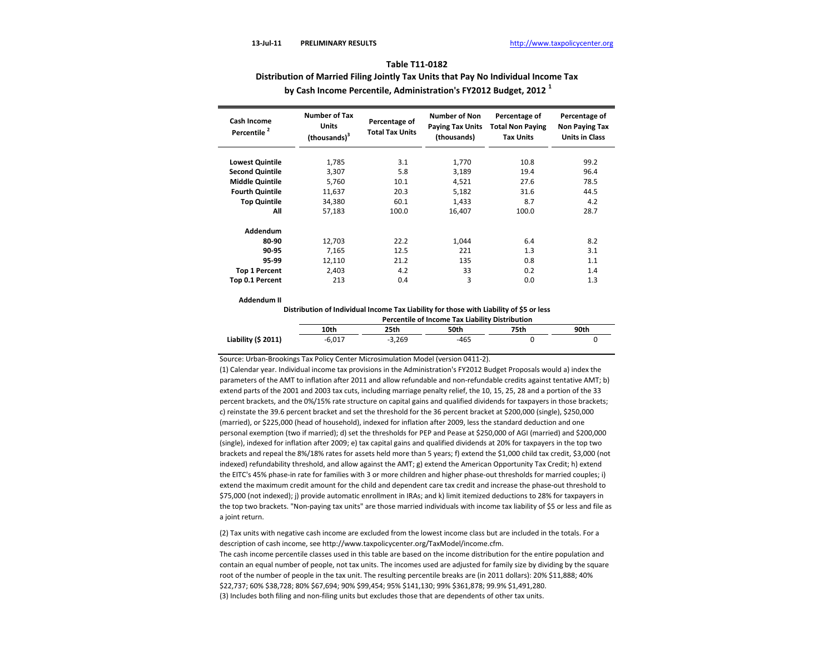**Distribution of Married Filing Jointly Tax Units that Pay No Individual Income Tax**

| Cash Income<br>Percentile <sup>2</sup> | <b>Number of Tax</b><br><b>Units</b><br>(thousands) <sup>3</sup> | Percentage of<br><b>Total Tax Units</b> | <b>Number of Non</b><br><b>Paying Tax Units</b><br>(thousands) | Percentage of<br><b>Total Non Paying</b><br><b>Tax Units</b> | Percentage of<br><b>Non Paying Tax</b><br><b>Units in Class</b> |
|----------------------------------------|------------------------------------------------------------------|-----------------------------------------|----------------------------------------------------------------|--------------------------------------------------------------|-----------------------------------------------------------------|
|                                        |                                                                  |                                         |                                                                |                                                              |                                                                 |
| <b>Lowest Quintile</b>                 | 1,785                                                            | 3.1                                     | 1,770                                                          | 10.8                                                         | 99.2                                                            |
| <b>Second Quintile</b>                 | 3.307                                                            | 5.8                                     | 3.189                                                          | 19.4                                                         | 96.4                                                            |
| <b>Middle Quintile</b>                 | 5,760                                                            | 10.1                                    | 4,521                                                          | 27.6                                                         | 78.5                                                            |
| <b>Fourth Quintile</b>                 | 11,637                                                           | 20.3                                    | 5,182                                                          | 31.6                                                         | 44.5                                                            |
| <b>Top Quintile</b>                    | 34,380                                                           | 60.1                                    | 1,433                                                          | 8.7                                                          | 4.2                                                             |
| All                                    | 57,183                                                           | 100.0                                   | 16.407                                                         | 100.0                                                        | 28.7                                                            |
| Addendum                               |                                                                  |                                         |                                                                |                                                              |                                                                 |
| 80-90                                  | 12,703                                                           | 22.2                                    | 1,044                                                          | 6.4                                                          | 8.2                                                             |
| 90-95                                  | 7.165                                                            | 12.5                                    | 221                                                            | 1.3                                                          | 3.1                                                             |
| 95-99                                  | 12,110                                                           | 21.2                                    | 135                                                            | 0.8                                                          | 1.1                                                             |
| <b>Top 1 Percent</b>                   | 2,403                                                            | 4.2                                     | 33                                                             | 0.2                                                          | 1.4                                                             |
| Top 0.1 Percent                        | 213                                                              | 0.4                                     | 3                                                              | 0.0                                                          | 1.3                                                             |

 **by Cash Income Percentile, Administration's FY2012 Budget, 2012 <sup>1</sup>**

#### **Addendum II**

**Distribution of Individual Income Tax Liability for those with Liability of \$5 or less**

|                     | Percentile of Income Tax Liability Distribution |          |      |      |      |  |  |  |
|---------------------|-------------------------------------------------|----------|------|------|------|--|--|--|
|                     | 10th                                            | 25th     | 50th | 75th | 90th |  |  |  |
| Liability (\$ 2011) | $-6.017$                                        | $-3.269$ | -465 |      |      |  |  |  |

Source: Urban-Brookings Tax Policy Center Microsimulation Model (version 0411-2).

(1) Calendar year. Individual income tax provisions in the Administration's FY2012 Budget Proposals would a) index the parameters of the AMT to inflation after 2011 and allow refundable and non-refundable credits against tentative AMT; b) extend parts of the 2001 and 2003 tax cuts, including marriage penalty relief, the 10, 15, 25, 28 and a portion of the 33 percent brackets, and the 0%/15% rate structure on capital gains and qualified dividends for taxpayers in those brackets; c) reinstate the 39.6 percent bracket and set the threshold for the 36 percent bracket at \$200,000 (single), \$250,000 (married), or \$225,000 (head of household), indexed for inflation after 2009, less the standard deduction and one personal exemption (two if married); d) set the thresholds for PEP and Pease at \$250,000 of AGI (married) and \$200,000 (single), indexed for inflation after 2009; e) tax capital gains and qualified dividends at 20% for taxpayers in the top two brackets and repeal the 8%/18% rates for assets held more than 5 years; f) extend the \$1,000 child tax credit, \$3,000 (not indexed) refundability threshold, and allow against the AMT; g) extend the American Opportunity Tax Credit; h) extend the EITC's 45% phase‐in rate for families with 3 or more children and higher phase‐out thresholds for married couples; i) extend the maximum credit amount for the child and dependent care tax credit and increase the phase‐out threshold to \$75,000 (not indexed); j) provide automatic enrollment in IRAs; and k) limit itemized deductions to 28% for taxpayers in the top two brackets. "Non-paying tax units" are those married individuals with income tax liability of \$5 or less and file as a joint return.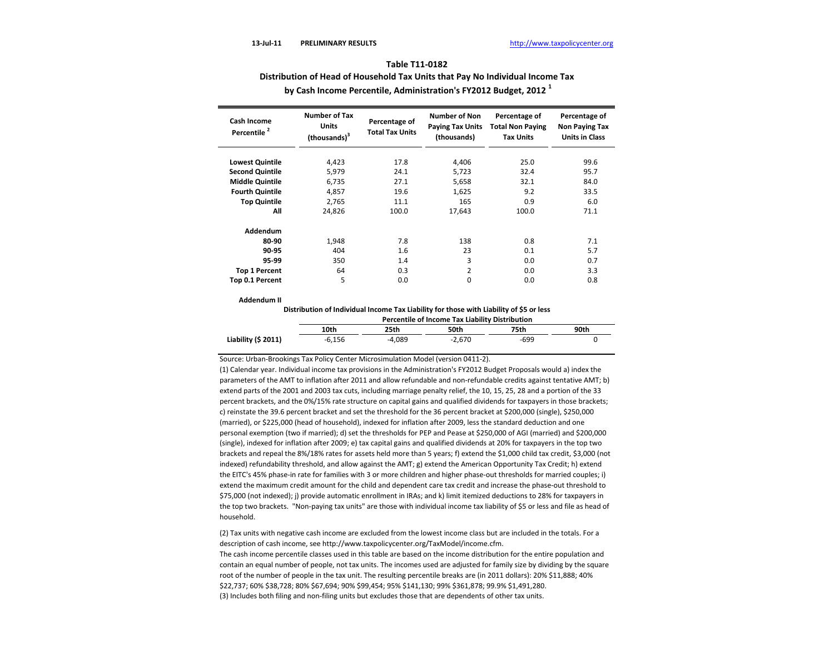**Distribution of Head of Household Tax Units that Pay No Individual Income Tax**

 **by Cash Income Percentile, Administration's FY2012 Budget, 2012 <sup>1</sup>**

| <b>Cash Income</b><br>Percentile <sup>2</sup> | <b>Number of Tax</b><br>Units<br>(thousands) <sup>3</sup> | Percentage of<br><b>Total Tax Units</b> | <b>Number of Non</b><br><b>Paying Tax Units</b><br>(thousands) | Percentage of<br><b>Total Non Paying</b><br><b>Tax Units</b> | Percentage of<br>Non Paying Tax<br><b>Units in Class</b> |
|-----------------------------------------------|-----------------------------------------------------------|-----------------------------------------|----------------------------------------------------------------|--------------------------------------------------------------|----------------------------------------------------------|
| <b>Lowest Quintile</b>                        | 4,423                                                     | 17.8                                    | 4,406                                                          | 25.0                                                         | 99.6                                                     |
| <b>Second Quintile</b>                        | 5,979                                                     | 24.1                                    | 5,723                                                          | 32.4                                                         | 95.7                                                     |
| <b>Middle Quintile</b>                        | 6,735                                                     | 27.1                                    | 5,658                                                          | 32.1                                                         | 84.0                                                     |
| <b>Fourth Quintile</b>                        | 4,857                                                     | 19.6                                    | 1,625                                                          | 9.2                                                          | 33.5                                                     |
| <b>Top Quintile</b>                           | 2.765                                                     | 11.1                                    | 165                                                            | 0.9                                                          | 6.0                                                      |
| All                                           | 24,826                                                    | 100.0                                   | 17,643                                                         | 100.0                                                        | 71.1                                                     |
| Addendum                                      |                                                           |                                         |                                                                |                                                              |                                                          |
| 80-90                                         | 1,948                                                     | 7.8                                     | 138                                                            | 0.8                                                          | 7.1                                                      |
| 90-95                                         | 404                                                       | 1.6                                     | 23                                                             | 0.1                                                          | 5.7                                                      |
| 95-99                                         | 350                                                       | 1.4                                     | 3                                                              | 0.0                                                          | 0.7                                                      |
| <b>Top 1 Percent</b>                          | 64                                                        | 0.3                                     | 2                                                              | 0.0                                                          | 3.3                                                      |
| Top 0.1 Percent                               | 5                                                         | 0.0                                     | 0                                                              | 0.0                                                          | 0.8                                                      |

#### **Addendum II**

**Distribution of Individual Income Tax Liability for those with Liability of \$5 or less**

|                     | Percentile of Income Tax Liability Distribution |          |          |      |      |  |  |  |
|---------------------|-------------------------------------------------|----------|----------|------|------|--|--|--|
|                     | 10th                                            | 25th     | 50th     | 75th | 90th |  |  |  |
| Liability (\$ 2011) | $-6.156$                                        | $-4.089$ | $-2.670$ | -699 |      |  |  |  |

Source: Urban-Brookings Tax Policy Center Microsimulation Model (version 0411-2).

(1) Calendar year. Individual income tax provisions in the Administration's FY2012 Budget Proposals would a) index the parameters of the AMT to inflation after 2011 and allow refundable and non-refundable credits against tentative AMT; b) extend parts of the 2001 and 2003 tax cuts, including marriage penalty relief, the 10, 15, 25, 28 and a portion of the 33 percent brackets, and the 0%/15% rate structure on capital gains and qualified dividends for taxpayers in those brackets; c) reinstate the 39.6 percent bracket and set the threshold for the 36 percent bracket at \$200,000 (single), \$250,000 (married), or \$225,000 (head of household), indexed for inflation after 2009, less the standard deduction and one personal exemption (two if married); d) set the thresholds for PEP and Pease at \$250,000 of AGI (married) and \$200,000 (single), indexed for inflation after 2009; e) tax capital gains and qualified dividends at 20% for taxpayers in the top two brackets and repeal the 8%/18% rates for assets held more than 5 years; f) extend the \$1,000 child tax credit, \$3,000 (not indexed) refundability threshold, and allow against the AMT; g) extend the American Opportunity Tax Credit; h) extend the EITC's 45% phase‐in rate for families with 3 or more children and higher phase‐out thresholds for married couples; i) extend the maximum credit amount for the child and dependent care tax credit and increase the phase‐out threshold to \$75,000 (not indexed); j) provide automatic enrollment in IRAs; and k) limit itemized deductions to 28% for taxpayers in the top two brackets. "Non-paying tax units" are those with individual income tax liability of \$5 or less and file as head of household.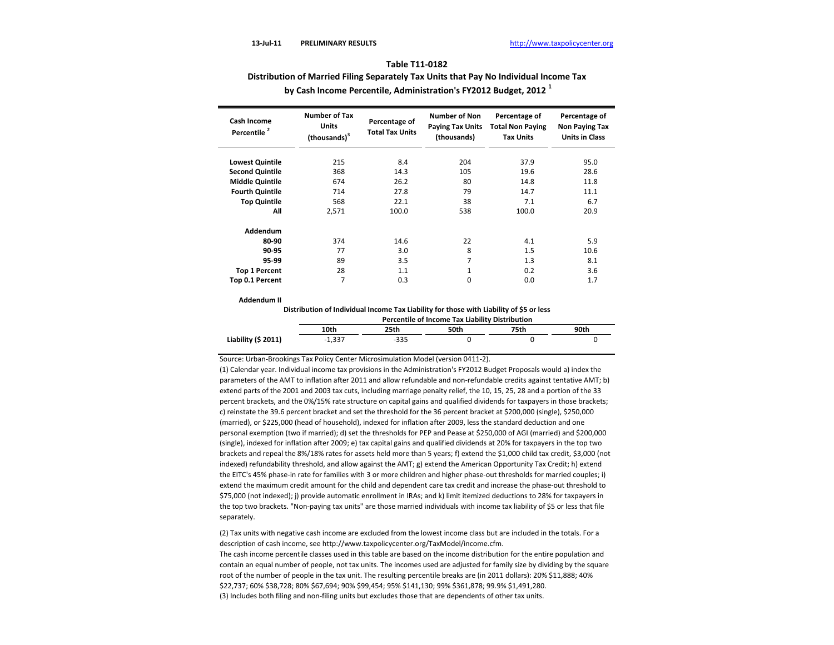# **Distribution of Married Filing Separately Tax Units that Pay No Individual Income Tax by Cash Income Percentile, Administration's FY2012 Budget, 2012 <sup>1</sup>**

| Cash Income<br>Percentile <sup>2</sup> | <b>Number of Tax</b><br><b>Units</b> | Percentage of<br><b>Total Tax Units</b> | <b>Number of Non</b><br><b>Paying Tax Units</b> | Percentage of<br><b>Total Non Paying</b> | Percentage of<br>Non Paying Tax |
|----------------------------------------|--------------------------------------|-----------------------------------------|-------------------------------------------------|------------------------------------------|---------------------------------|
|                                        | (thousands) <sup>3</sup>             |                                         | (thousands)                                     | <b>Tax Units</b>                         | <b>Units in Class</b>           |
| <b>Lowest Quintile</b>                 | 215                                  | 8.4                                     | 204                                             | 37.9                                     | 95.0                            |
| <b>Second Quintile</b>                 | 368                                  | 14.3                                    | 105                                             | 19.6                                     | 28.6                            |
| <b>Middle Quintile</b>                 | 674                                  | 26.2                                    | 80                                              | 14.8                                     | 11.8                            |
| <b>Fourth Quintile</b>                 | 714                                  | 27.8                                    | 79                                              | 14.7                                     | 11.1                            |
| <b>Top Quintile</b>                    | 568                                  | 22.1                                    | 38                                              | 7.1                                      | 6.7                             |
| All                                    | 2,571                                | 100.0                                   | 538                                             | 100.0                                    | 20.9                            |
| Addendum                               |                                      |                                         |                                                 |                                          |                                 |
| 80-90                                  | 374                                  | 14.6                                    | 22                                              | 4.1                                      | 5.9                             |
| 90-95                                  | 77                                   | 3.0                                     | 8                                               | 1.5                                      | 10.6                            |
| 95-99                                  | 89                                   | 3.5                                     | 7                                               | 1.3                                      | 8.1                             |
| <b>Top 1 Percent</b>                   | 28                                   | 1.1                                     | $\mathbf{1}$                                    | 0.2                                      | 3.6                             |
| Top 0.1 Percent                        | 7                                    | 0.3                                     | 0                                               | 0.0                                      | 1.7                             |

#### **Addendum II**

**Distribution of Individual Income Tax Liability for those with Liability of \$5 or less**

|                     | Percentile of Income Tax Liability Distribution |      |      |      |      |  |  |  |
|---------------------|-------------------------------------------------|------|------|------|------|--|--|--|
|                     | 10th                                            | 25th | 50th | 75th | 90th |  |  |  |
| Liability (\$ 2011) | $-1.337$                                        | -335 |      |      |      |  |  |  |

Source: Urban-Brookings Tax Policy Center Microsimulation Model (version 0411-2).

(1) Calendar year. Individual income tax provisions in the Administration's FY2012 Budget Proposals would a) index the parameters of the AMT to inflation after 2011 and allow refundable and non-refundable credits against tentative AMT; b) extend parts of the 2001 and 2003 tax cuts, including marriage penalty relief, the 10, 15, 25, 28 and a portion of the 33 percent brackets, and the 0%/15% rate structure on capital gains and qualified dividends for taxpayers in those brackets; c) reinstate the 39.6 percent bracket and set the threshold for the 36 percent bracket at \$200,000 (single), \$250,000 (married), or \$225,000 (head of household), indexed for inflation after 2009, less the standard deduction and one personal exemption (two if married); d) set the thresholds for PEP and Pease at \$250,000 of AGI (married) and \$200,000 (single), indexed for inflation after 2009; e) tax capital gains and qualified dividends at 20% for taxpayers in the top two brackets and repeal the 8%/18% rates for assets held more than 5 years; f) extend the \$1,000 child tax credit, \$3,000 (not indexed) refundability threshold, and allow against the AMT; g) extend the American Opportunity Tax Credit; h) extend the EITC's 45% phase‐in rate for families with 3 or more children and higher phase‐out thresholds for married couples; i) extend the maximum credit amount for the child and dependent care tax credit and increase the phase‐out threshold to \$75,000 (not indexed); j) provide automatic enrollment in IRAs; and k) limit itemized deductions to 28% for taxpayers in the top two brackets. "Non-paying tax units" are those married individuals with income tax liability of \$5 or less that file separately.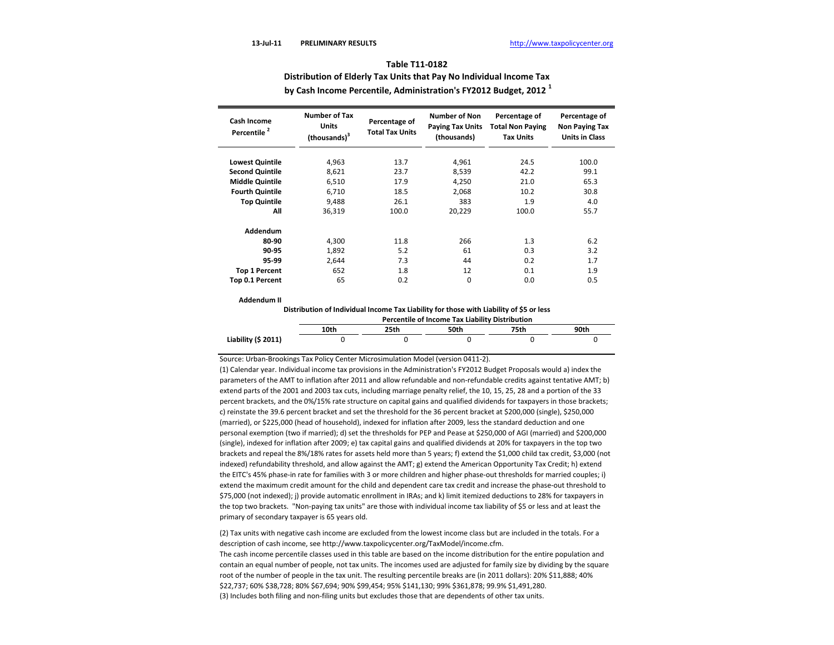**Distribution of Elderly Tax Units that Pay No Individual Income Tax**

 **by Cash Income Percentile, Administration's FY2012 Budget, 2012 <sup>1</sup>**

| <b>Cash Income</b><br>Percentile <sup>2</sup> | <b>Number of Tax</b><br><b>Units</b><br>(thousands) <sup>3</sup> | Percentage of<br><b>Total Tax Units</b> | <b>Number of Non</b><br><b>Paying Tax Units</b><br>(thousands) | Percentage of<br><b>Total Non Paying</b><br><b>Tax Units</b> | Percentage of<br>Non Paying Tax<br><b>Units in Class</b> |
|-----------------------------------------------|------------------------------------------------------------------|-----------------------------------------|----------------------------------------------------------------|--------------------------------------------------------------|----------------------------------------------------------|
| <b>Lowest Quintile</b>                        | 4,963                                                            | 13.7                                    | 4,961                                                          | 24.5                                                         | 100.0                                                    |
| <b>Second Quintile</b>                        | 8,621                                                            | 23.7                                    | 8,539                                                          | 42.2                                                         | 99.1                                                     |
| <b>Middle Quintile</b>                        | 6,510                                                            | 17.9                                    | 4,250                                                          | 21.0                                                         | 65.3                                                     |
| <b>Fourth Quintile</b>                        | 6,710                                                            | 18.5                                    | 2,068                                                          | 10.2                                                         | 30.8                                                     |
| <b>Top Quintile</b>                           | 9.488                                                            | 26.1                                    | 383                                                            | 1.9                                                          | 4.0                                                      |
| All                                           | 36,319                                                           | 100.0                                   | 20,229                                                         | 100.0                                                        | 55.7                                                     |
| Addendum                                      |                                                                  |                                         |                                                                |                                                              |                                                          |
| 80-90                                         | 4,300                                                            | 11.8                                    | 266                                                            | 1.3                                                          | 6.2                                                      |
| 90-95                                         | 1,892                                                            | 5.2                                     | 61                                                             | 0.3                                                          | 3.2                                                      |
| 95-99                                         | 2.644                                                            | 7.3                                     | 44                                                             | 0.2                                                          | 1.7                                                      |
| <b>Top 1 Percent</b>                          | 652                                                              | 1.8                                     | 12                                                             | 0.1                                                          | 1.9                                                      |
| Top 0.1 Percent                               | 65                                                               | 0.2                                     | $\Omega$                                                       | 0.0                                                          | 0.5                                                      |

#### **Addendum II**

**Distribution of Individual Income Tax Liability for those with Liability of \$5 or less**

|                     | <b>Percentile of Income Tax Liability Distribution</b> |      |      |      |      |  |  |  |
|---------------------|--------------------------------------------------------|------|------|------|------|--|--|--|
|                     | 10th                                                   | 25th | 50th | 75th | 90th |  |  |  |
| Liability (\$ 2011) |                                                        |      |      |      |      |  |  |  |

Source: Urban-Brookings Tax Policy Center Microsimulation Model (version 0411-2).

(1) Calendar year. Individual income tax provisions in the Administration's FY2012 Budget Proposals would a) index the parameters of the AMT to inflation after 2011 and allow refundable and non-refundable credits against tentative AMT; b) extend parts of the 2001 and 2003 tax cuts, including marriage penalty relief, the 10, 15, 25, 28 and a portion of the 33 percent brackets, and the 0%/15% rate structure on capital gains and qualified dividends for taxpayers in those brackets; c) reinstate the 39.6 percent bracket and set the threshold for the 36 percent bracket at \$200,000 (single), \$250,000 (married), or \$225,000 (head of household), indexed for inflation after 2009, less the standard deduction and one personal exemption (two if married); d) set the thresholds for PEP and Pease at \$250,000 of AGI (married) and \$200,000 (single), indexed for inflation after 2009; e) tax capital gains and qualified dividends at 20% for taxpayers in the top two brackets and repeal the 8%/18% rates for assets held more than 5 years; f) extend the \$1,000 child tax credit, \$3,000 (not indexed) refundability threshold, and allow against the AMT; g) extend the American Opportunity Tax Credit; h) extend the EITC's 45% phase‐in rate for families with 3 or more children and higher phase‐out thresholds for married couples; i) extend the maximum credit amount for the child and dependent care tax credit and increase the phase‐out threshold to \$75,000 (not indexed); j) provide automatic enrollment in IRAs; and k) limit itemized deductions to 28% for taxpayers in the top two brackets. "Non-paying tax units" are those with individual income tax liability of \$5 or less and at least the primary of secondary taxpayer is 65 years old.